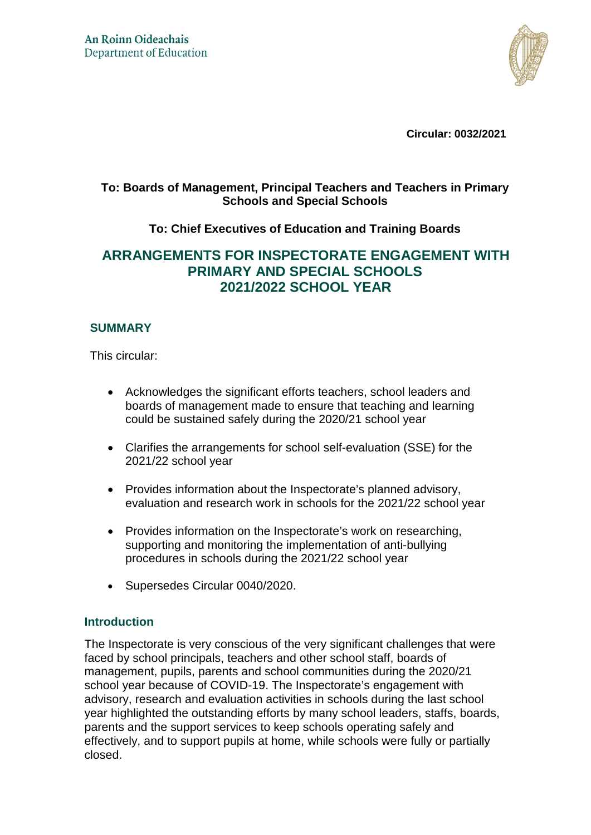

**Circular: 0032/2021** 

## **To: Boards of Management, Principal Teachers and Teachers in Primary Schools and Special Schools**

## **To: Chief Executives of Education and Training Boards**

# **ARRANGEMENTS FOR INSPECTORATE ENGAGEMENT WITH PRIMARY AND SPECIAL SCHOOLS 2021/2022 SCHOOL YEAR**

## **SUMMARY**

This circular:

- Acknowledges the significant efforts teachers, school leaders and boards of management made to ensure that teaching and learning could be sustained safely during the 2020/21 school year
- Clarifies the arrangements for school self-evaluation (SSE) for the 2021/22 school year
- Provides information about the Inspectorate's planned advisory, evaluation and research work in schools for the 2021/22 school year
- Provides information on the Inspectorate's work on researching, supporting and monitoring the implementation of anti-bullying procedures in schools during the 2021/22 school year
- Supersedes Circular 0040/2020.

## **Introduction**

The Inspectorate is very conscious of the very significant challenges that were faced by school principals, teachers and other school staff, boards of management, pupils, parents and school communities during the 2020/21 school year because of COVID-19. The Inspectorate's engagement with advisory, research and evaluation activities in schools during the last school year highlighted the outstanding efforts by many school leaders, staffs, boards, parents and the support services to keep schools operating safely and effectively, and to support pupils at home, while schools were fully or partially closed.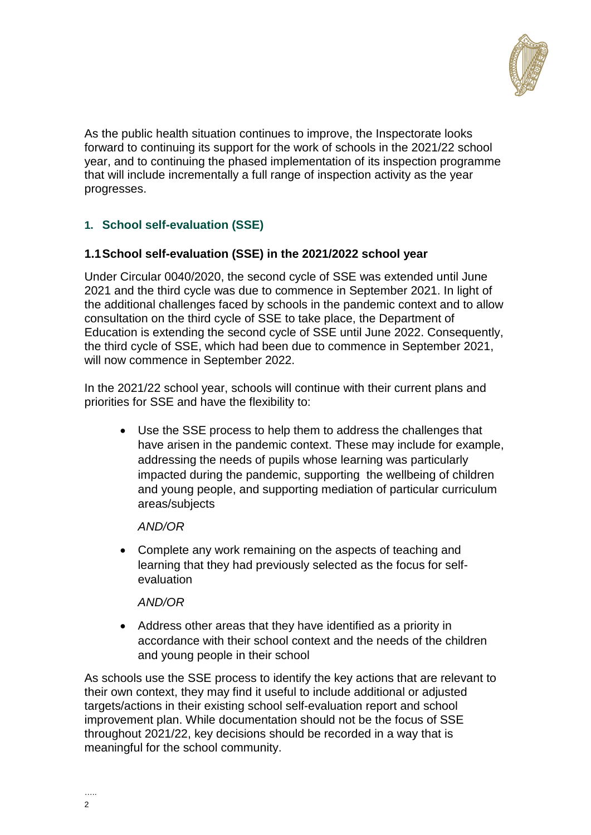

As the public health situation continues to improve, the Inspectorate looks forward to continuing its support for the work of schools in the 2021/22 school year, and to continuing the phased implementation of its inspection programme that will include incrementally a full range of inspection activity as the year progresses.

## **1. School self-evaluation (SSE)**

## **1.1 School self-evaluation (SSE) in the 2021/2022 school year**

Under Circular 0040/2020, the second cycle of SSE was extended until June 2021 and the third cycle was due to commence in September 2021. In light of the additional challenges faced by schools in the pandemic context and to allow consultation on the third cycle of SSE to take place, the Department of Education is extending the second cycle of SSE until June 2022. Consequently, the third cycle of SSE, which had been due to commence in September 2021, will now commence in September 2022.

In the 2021/22 school year, schools will continue with their current plans and priorities for SSE and have the flexibility to:

 Use the SSE process to help them to address the challenges that have arisen in the pandemic context. These may include for example, addressing the needs of pupils whose learning was particularly impacted during the pandemic, supporting the wellbeing of children and young people, and supporting mediation of particular curriculum areas/subjects

#### *AND/OR*

 Complete any work remaining on the aspects of teaching and learning that they had previously selected as the focus for selfevaluation

#### *AND/OR*

 Address other areas that they have identified as a priority in accordance with their school context and the needs of the children and young people in their school

As schools use the SSE process to identify the key actions that are relevant to their own context, they may find it useful to include additional or adjusted targets/actions in their existing school self-evaluation report and school improvement plan. While documentation should not be the focus of SSE throughout 2021/22, key decisions should be recorded in a way that is meaningful for the school community.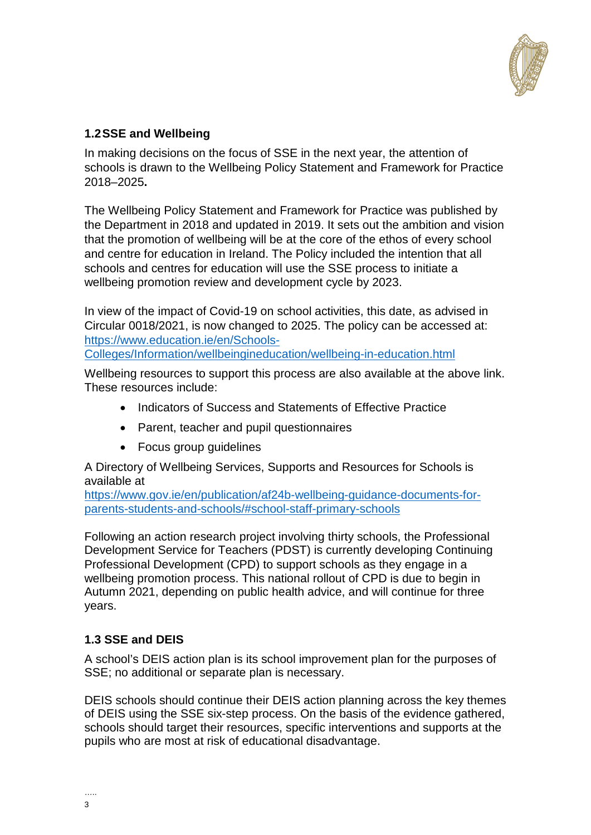

## **1.2 SSE and Wellbeing**

In making decisions on the focus of SSE in the next year, the attention of schools is drawn to the Wellbeing Policy Statement and Framework for Practice 2018–2025**.** 

The Wellbeing Policy Statement and Framework for Practice was published by the Department in 2018 and updated in 2019. It sets out the ambition and vision that the promotion of wellbeing will be at the core of the ethos of every school and centre for education in Ireland. The Policy included the intention that all schools and centres for education will use the SSE process to initiate a wellbeing promotion review and development cycle by 2023.

In view of the impact of Covid-19 on school activities, this date, as advised in Circular 0018/2021, is now changed to 2025. The policy can be accessed at: [https://www.education.ie/en/Schools-](https://www.education.ie/en/Schools-Colleges/Information/wellbeingineducation/wellbeing-in-education.html)

[Colleges/Information/wellbeingineducation/wellbeing-in-education.html](https://www.education.ie/en/Schools-Colleges/Information/wellbeingineducation/wellbeing-in-education.html)

Wellbeing resources to support this process are also available at the above link. These resources include:

- Indicators of Success and Statements of Effective Practice
- Parent, teacher and pupil questionnaires
- Focus group guidelines

A Directory of Wellbeing Services, Supports and Resources for Schools is available at

[https://www.gov.ie/en/publication/af24b-wellbeing-guidance-documents-for](https://www.gov.ie/en/publication/af24b-wellbeing-guidance-documents-for-parents-students-and-schools/#school-staff-primary-schools)[parents-students-and-schools/#school-staff-primary-schools](https://www.gov.ie/en/publication/af24b-wellbeing-guidance-documents-for-parents-students-and-schools/#school-staff-primary-schools)

Following an action research project involving thirty schools, the Professional Development Service for Teachers (PDST) is currently developing Continuing Professional Development (CPD) to support schools as they engage in a wellbeing promotion process. This national rollout of CPD is due to begin in Autumn 2021, depending on public health advice, and will continue for three years.

## **1.3 SSE and DEIS**

A school's DEIS action plan is its school improvement plan for the purposes of SSE; no additional or separate plan is necessary.

DEIS schools should continue their DEIS action planning across the key themes of DEIS using the SSE six-step process. On the basis of the evidence gathered, schools should target their resources, specific interventions and supports at the pupils who are most at risk of educational disadvantage.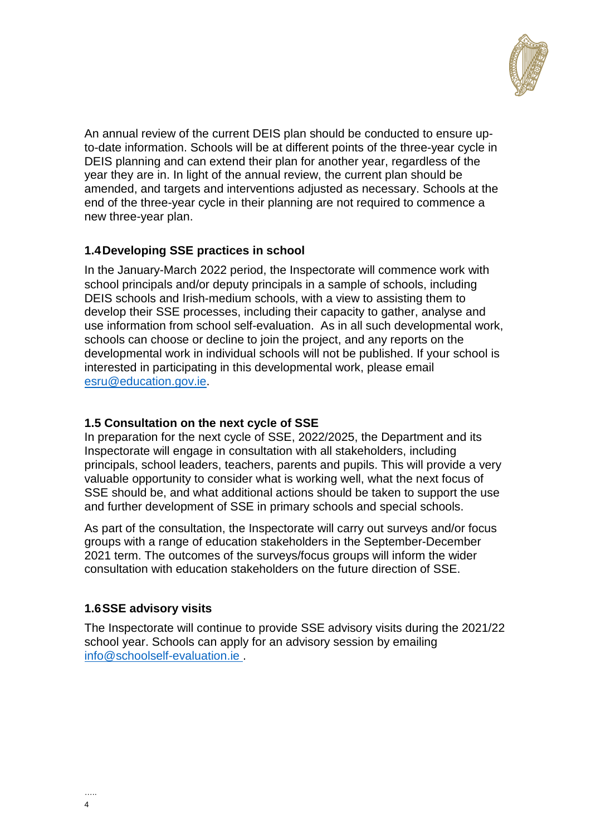

An annual review of the current DEIS plan should be conducted to ensure upto-date information. Schools will be at different points of the three-year cycle in DEIS planning and can extend their plan for another year, regardless of the year they are in. In light of the annual review, the current plan should be amended, and targets and interventions adjusted as necessary. Schools at the end of the three-year cycle in their planning are not required to commence a new three-year plan.

## **1.4 Developing SSE practices in school**

In the January-March 2022 period, the Inspectorate will commence work with school principals and/or deputy principals in a sample of schools, including DEIS schools and Irish-medium schools, with a view to assisting them to develop their SSE processes, including their capacity to gather, analyse and use information from school self-evaluation. As in all such developmental work, schools can choose or decline to join the project, and any reports on the developmental work in individual schools will not be published. If your school is interested in participating in this developmental work, please email [esru@education.gov.ie.](mailto:esru@education.gov.ie)

## **1.5 Consultation on the next cycle of SSE**

In preparation for the next cycle of SSE, 2022/2025, the Department and its Inspectorate will engage in consultation with all stakeholders, including principals, school leaders, teachers, parents and pupils. This will provide a very valuable opportunity to consider what is working well, what the next focus of SSE should be, and what additional actions should be taken to support the use and further development of SSE in primary schools and special schools.

As part of the consultation, the Inspectorate will carry out surveys and/or focus groups with a range of education stakeholders in the September-December 2021 term. The outcomes of the surveys/focus groups will inform the wider consultation with education stakeholders on the future direction of SSE.

## **1.6SSE advisory visits**

The Inspectorate will continue to provide SSE advisory visits during the 2021/22 school year. Schools can apply for an advisory session by emailing [info@schoolself-evaluation.ie](mailto:info@schoolself-evaluation.ie) .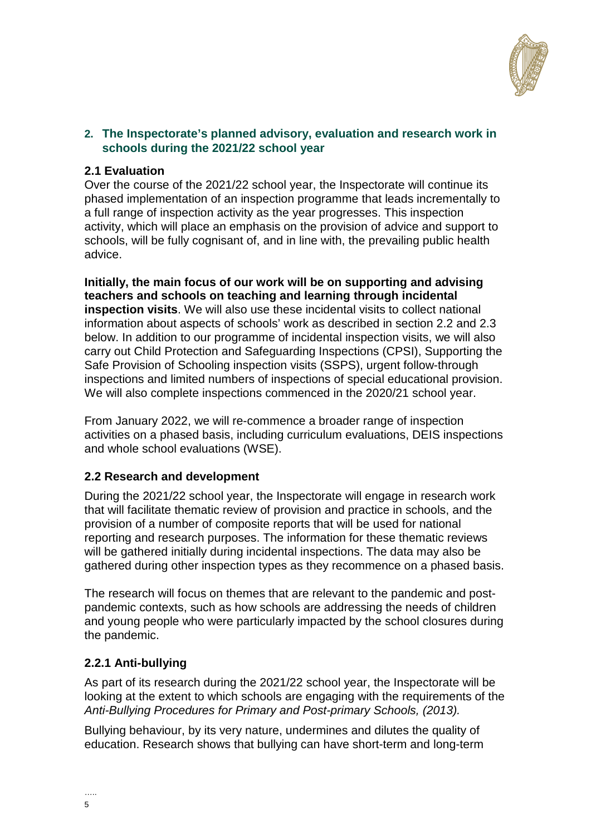

#### **2. The Inspectorate's planned advisory, evaluation and research work in schools during the 2021/22 school year**

#### **2.1 Evaluation**

Over the course of the 2021/22 school year, the Inspectorate will continue its phased implementation of an inspection programme that leads incrementally to a full range of inspection activity as the year progresses. This inspection activity, which will place an emphasis on the provision of advice and support to schools, will be fully cognisant of, and in line with, the prevailing public health advice.

**Initially, the main focus of our work will be on supporting and advising teachers and schools on teaching and learning through incidental inspection visits**. We will also use these incidental visits to collect national information about aspects of schools' work as described in section 2.2 and 2.3 below. In addition to our programme of incidental inspection visits, we will also carry out Child Protection and Safeguarding Inspections (CPSI), Supporting the Safe Provision of Schooling inspection visits (SSPS), urgent follow-through inspections and limited numbers of inspections of special educational provision. We will also complete inspections commenced in the 2020/21 school year.

From January 2022, we will re-commence a broader range of inspection activities on a phased basis, including curriculum evaluations, DEIS inspections and whole school evaluations (WSE).

## **2.2 Research and development**

During the 2021/22 school year, the Inspectorate will engage in research work that will facilitate thematic review of provision and practice in schools, and the provision of a number of composite reports that will be used for national reporting and research purposes. The information for these thematic reviews will be gathered initially during incidental inspections. The data may also be gathered during other inspection types as they recommence on a phased basis.

The research will focus on themes that are relevant to the pandemic and postpandemic contexts, such as how schools are addressing the needs of children and young people who were particularly impacted by the school closures during the pandemic.

## **2.2.1 Anti-bullying**

As part of its research during the 2021/22 school year, the Inspectorate will be looking at the extent to which schools are engaging with the requirements of the *Anti-Bullying Procedures for Primary and Post-primary Schools, (2013).*

Bullying behaviour, by its very nature, undermines and dilutes the quality of education. Research shows that bullying can have short-term and long-term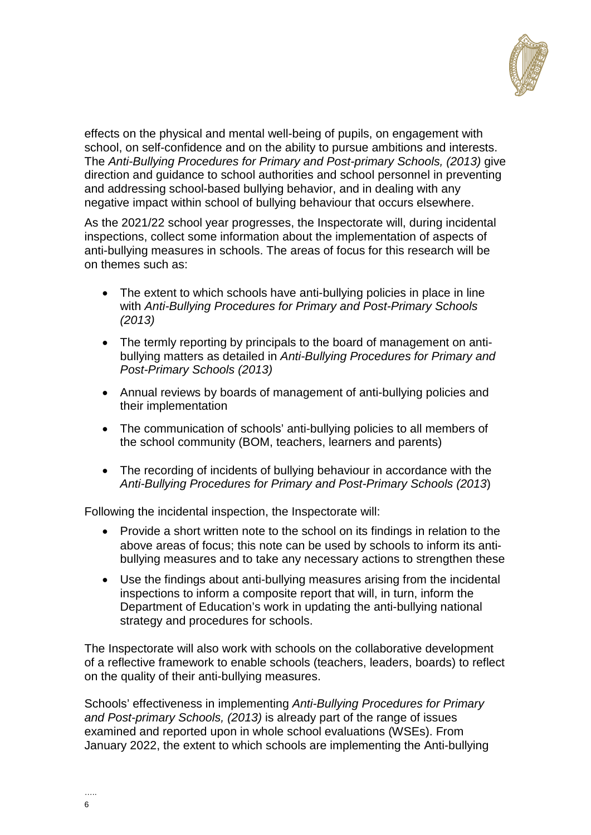

effects on the physical and mental well-being of pupils, on engagement with school, on self-confidence and on the ability to pursue ambitions and interests. The *Anti-Bullying Procedures for Primary and Post-primary Schools, (2013)* give direction and guidance to school authorities and school personnel in preventing and addressing school-based bullying behavior, and in dealing with any negative impact within school of bullying behaviour that occurs elsewhere.

As the 2021/22 school year progresses, the Inspectorate will, during incidental inspections, collect some information about the implementation of aspects of anti-bullying measures in schools. The areas of focus for this research will be on themes such as:

- The extent to which schools have anti-bullying policies in place in line with *Anti-Bullying Procedures for Primary and Post-Primary Schools (2013)*
- The termly reporting by principals to the board of management on antibullying matters as detailed in *Anti-Bullying Procedures for Primary and Post-Primary Schools (2013)*
- Annual reviews by boards of management of anti-bullying policies and their implementation
- The communication of schools' anti-bullying policies to all members of the school community (BOM, teachers, learners and parents)
- The recording of incidents of bullying behaviour in accordance with the *Anti-Bullying Procedures for Primary and Post-Primary Schools (2013*)

Following the incidental inspection, the Inspectorate will:

- Provide a short written note to the school on its findings in relation to the above areas of focus; this note can be used by schools to inform its antibullying measures and to take any necessary actions to strengthen these
- Use the findings about anti-bullying measures arising from the incidental inspections to inform a composite report that will, in turn, inform the Department of Education's work in updating the anti-bullying national strategy and procedures for schools.

The Inspectorate will also work with schools on the collaborative development of a reflective framework to enable schools (teachers, leaders, boards) to reflect on the quality of their anti-bullying measures.

Schools' effectiveness in implementing *Anti-Bullying Procedures for Primary and Post-primary Schools, (2013)* is already part of the range of issues examined and reported upon in whole school evaluations (WSEs). From January 2022, the extent to which schools are implementing the Anti-bullying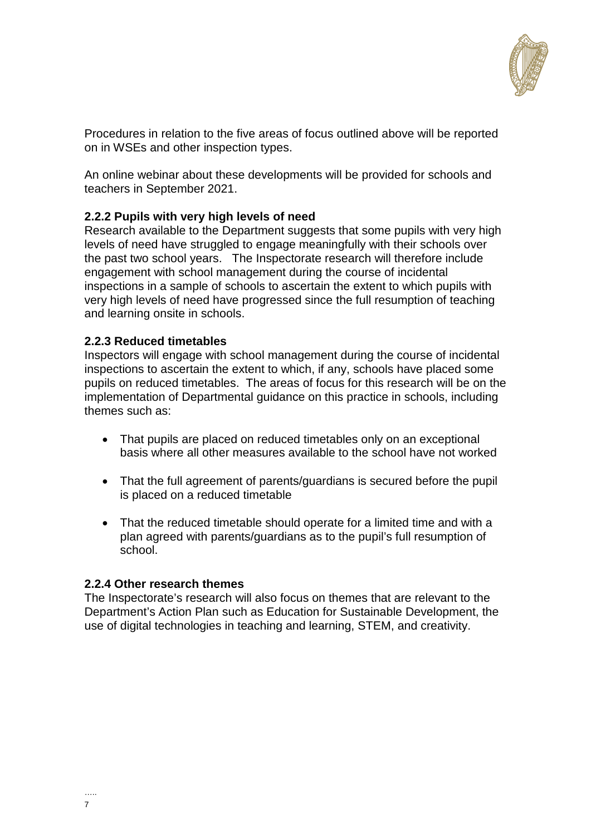

Procedures in relation to the five areas of focus outlined above will be reported on in WSEs and other inspection types.

An online webinar about these developments will be provided for schools and teachers in September 2021.

#### **2.2.2 Pupils with very high levels of need**

Research available to the Department suggests that some pupils with very high levels of need have struggled to engage meaningfully with their schools over the past two school years. The Inspectorate research will therefore include engagement with school management during the course of incidental inspections in a sample of schools to ascertain the extent to which pupils with very high levels of need have progressed since the full resumption of teaching and learning onsite in schools.

#### **2.2.3 Reduced timetables**

Inspectors will engage with school management during the course of incidental inspections to ascertain the extent to which, if any, schools have placed some pupils on reduced timetables. The areas of focus for this research will be on the implementation of Departmental guidance on this practice in schools, including themes such as:

- That pupils are placed on reduced timetables only on an exceptional basis where all other measures available to the school have not worked
- That the full agreement of parents/guardians is secured before the pupil is placed on a reduced timetable
- That the reduced timetable should operate for a limited time and with a plan agreed with parents/guardians as to the pupil's full resumption of school.

#### **2.2.4 Other research themes**

The Inspectorate's research will also focus on themes that are relevant to the Department's Action Plan such as Education for Sustainable Development, the use of digital technologies in teaching and learning, STEM, and creativity.